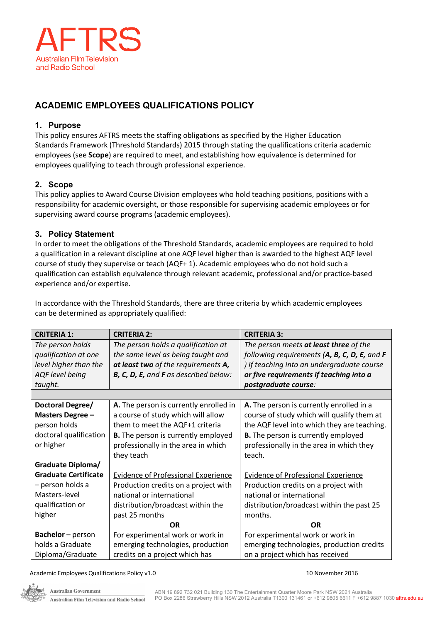

# **ACADEMIC EMPLOYEES QUALIFICATIONS POLICY**

## **1. Purpose**

This policy ensures AFTRS meets the staffing obligations as specified by the Higher Education Standards Framework (Threshold Standards) 2015 through stating the qualifications criteria academic employees (see **Scope**) are required to meet, and establishing how equivalence is determined for employees qualifying to teach through professional experience.

# **2. Scope**

This policy applies to Award Course Division employees who hold teaching positions, positions with a responsibility for academic oversight, or those responsible for supervising academic employees or for supervising award course programs (academic employees).

# **3. Policy Statement**

In order to meet the obligations of the Threshold Standards, academic employees are required to hold a qualification in a relevant discipline at one AQF level higher than is awarded to the highest AQF level course of study they supervise or teach (AQF+ 1). Academic employees who do not hold such a qualification can establish equivalence through relevant academic, professional and/or practice-based experience and/or expertise.

In accordance with the Threshold Standards, there are three criteria by which academic employees can be determined as appropriately qualified:

| <b>CRITERIA 1:</b>          | <b>CRITERIA 2:</b>                         | <b>CRITERIA 3:</b>                           |
|-----------------------------|--------------------------------------------|----------------------------------------------|
| The person holds            | The person holds a qualification at        | The person meets at least three of the       |
| qualification at one        | the same level as being taught and         | following requirements (A, B, C, D, E, and F |
| level higher than the       | at least two of the requirements A,        | ) if teaching into an undergraduate course   |
| AQF level being             | B, C, D, E, and F as described below:      | or five requirements if teaching into a      |
| taught.                     |                                            | postgraduate course:                         |
|                             |                                            |                                              |
| Doctoral Degree/            | A. The person is currently enrolled in     | A. The person is currently enrolled in a     |
| <b>Masters Degree -</b>     | a course of study which will allow         | course of study which will qualify them at   |
| person holds                | them to meet the AQF+1 criteria            | the AQF level into which they are teaching.  |
| doctoral qualification      | <b>B.</b> The person is currently employed | <b>B.</b> The person is currently employed   |
| or higher                   | professionally in the area in which        | professionally in the area in which they     |
|                             | they teach                                 | teach.                                       |
| <b>Graduate Diploma/</b>    |                                            |                                              |
| <b>Graduate Certificate</b> | <b>Evidence of Professional Experience</b> | <b>Evidence of Professional Experience</b>   |
| - person holds a            | Production credits on a project with       | Production credits on a project with         |
| Masters-level               | national or international                  | national or international                    |
| qualification or            | distribution/broadcast within the          | distribution/broadcast within the past 25    |
| higher                      | past 25 months                             | months.                                      |
|                             | <b>OR</b>                                  | <b>OR</b>                                    |
| Bachelor - person           | For experimental work or work in           | For experimental work or work in             |
| holds a Graduate            | emerging technologies, production          | emerging technologies, production credits    |
| Diploma/Graduate            | credits on a project which has             | on a project which has received              |

Academic Employees Qualifications Policy v1.0 10 November 2016

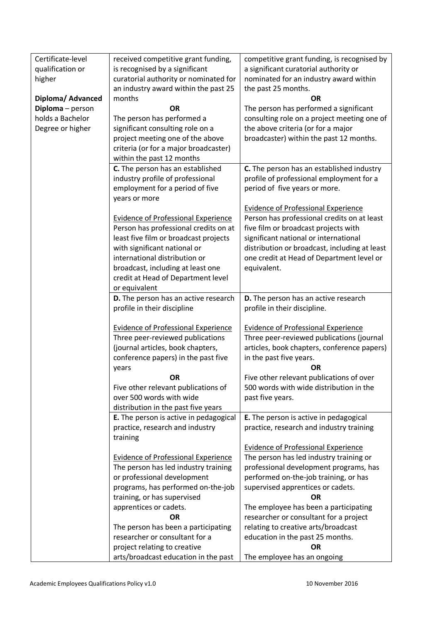| Certificate-level<br>qualification or | received competitive grant funding,<br>is recognised by a significant<br>curatorial authority or nominated for | competitive grant funding, is recognised by<br>a significant curatorial authority or |  |
|---------------------------------------|----------------------------------------------------------------------------------------------------------------|--------------------------------------------------------------------------------------|--|
| higher                                | an industry award within the past 25                                                                           | nominated for an industry award within<br>the past 25 months.                        |  |
| Diploma/ Advanced                     | months                                                                                                         | <b>OR</b>                                                                            |  |
| Diploma - person                      | <b>OR</b>                                                                                                      | The person has performed a significant                                               |  |
| holds a Bachelor                      | The person has performed a                                                                                     | consulting role on a project meeting one of                                          |  |
| Degree or higher                      | significant consulting role on a                                                                               | the above criteria (or for a major                                                   |  |
|                                       | project meeting one of the above                                                                               | broadcaster) within the past 12 months.                                              |  |
|                                       | criteria (or for a major broadcaster)                                                                          |                                                                                      |  |
|                                       | within the past 12 months                                                                                      |                                                                                      |  |
|                                       | C. The person has an established                                                                               | C. The person has an established industry                                            |  |
|                                       | industry profile of professional                                                                               | profile of professional employment for a                                             |  |
|                                       | employment for a period of five                                                                                | period of five years or more.                                                        |  |
|                                       | years or more                                                                                                  |                                                                                      |  |
|                                       |                                                                                                                | <b>Evidence of Professional Experience</b>                                           |  |
|                                       | <b>Evidence of Professional Experience</b>                                                                     | Person has professional credits on at least                                          |  |
|                                       | Person has professional credits on at<br>least five film or broadcast projects                                 | five film or broadcast projects with<br>significant national or international        |  |
|                                       | with significant national or                                                                                   | distribution or broadcast, including at least                                        |  |
|                                       | international distribution or                                                                                  | one credit at Head of Department level or                                            |  |
|                                       | broadcast, including at least one                                                                              | equivalent.                                                                          |  |
|                                       | credit at Head of Department level                                                                             |                                                                                      |  |
|                                       | or equivalent                                                                                                  |                                                                                      |  |
|                                       | D. The person has an active research                                                                           | D. The person has an active research                                                 |  |
|                                       | profile in their discipline                                                                                    | profile in their discipline.                                                         |  |
|                                       |                                                                                                                |                                                                                      |  |
|                                       | <b>Evidence of Professional Experience</b>                                                                     | <b>Evidence of Professional Experience</b>                                           |  |
|                                       | Three peer-reviewed publications                                                                               | Three peer-reviewed publications (journal                                            |  |
|                                       | (journal articles, book chapters,                                                                              | articles, book chapters, conference papers)                                          |  |
|                                       | conference papers) in the past five                                                                            | in the past five years.                                                              |  |
|                                       | years                                                                                                          | OR                                                                                   |  |
|                                       | OR                                                                                                             | Five other relevant publications of over<br>500 words with wide distribution in the  |  |
|                                       | Five other relevant publications of<br>over 500 words with wide                                                | past five years.                                                                     |  |
|                                       | distribution in the past five years                                                                            |                                                                                      |  |
|                                       | E. The person is active in pedagogical                                                                         | E. The person is active in pedagogical                                               |  |
|                                       | practice, research and industry                                                                                | practice, research and industry training                                             |  |
|                                       | training                                                                                                       |                                                                                      |  |
|                                       |                                                                                                                | <b>Evidence of Professional Experience</b>                                           |  |
|                                       | <b>Evidence of Professional Experience</b>                                                                     | The person has led industry training or                                              |  |
|                                       | The person has led industry training                                                                           | professional development programs, has                                               |  |
|                                       | or professional development                                                                                    | performed on-the-job training, or has                                                |  |
|                                       | programs, has performed on-the-job                                                                             | supervised apprentices or cadets.                                                    |  |
|                                       | training, or has supervised                                                                                    | OR.                                                                                  |  |
|                                       | apprentices or cadets.                                                                                         | The employee has been a participating                                                |  |
|                                       | <b>OR</b>                                                                                                      | researcher or consultant for a project                                               |  |
|                                       | The person has been a participating                                                                            | relating to creative arts/broadcast                                                  |  |
|                                       | researcher or consultant for a                                                                                 | education in the past 25 months.                                                     |  |
|                                       | project relating to creative                                                                                   | <b>OR</b>                                                                            |  |
|                                       | arts/broadcast education in the past                                                                           | The employee has an ongoing                                                          |  |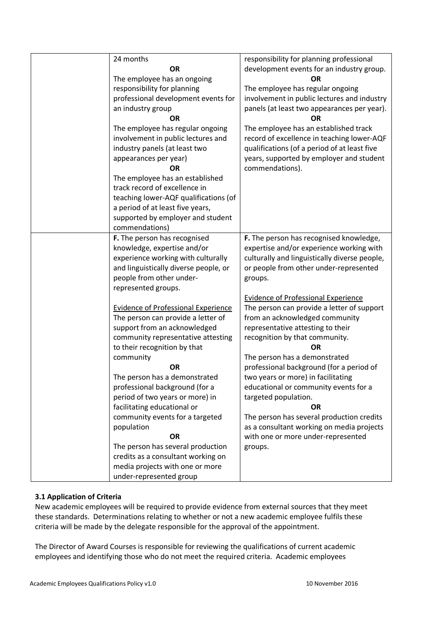| 24 months                                  | responsibility for planning professional      |
|--------------------------------------------|-----------------------------------------------|
| <b>OR</b>                                  | development events for an industry group.     |
| The employee has an ongoing                | <b>OR</b>                                     |
| responsibility for planning                | The employee has regular ongoing              |
| professional development events for        | involvement in public lectures and industry   |
| an industry group                          | panels (at least two appearances per year).   |
| <b>OR</b>                                  | ΟR                                            |
| The employee has regular ongoing           | The employee has an established track         |
| involvement in public lectures and         | record of excellence in teaching lower-AQF    |
| industry panels (at least two              | qualifications (of a period of at least five  |
| appearances per year)                      | years, supported by employer and student      |
| <b>OR</b>                                  | commendations).                               |
| The employee has an established            |                                               |
| track record of excellence in              |                                               |
| teaching lower-AQF qualifications (of      |                                               |
| a period of at least five years,           |                                               |
| supported by employer and student          |                                               |
| commendations)                             |                                               |
| F. The person has recognised               | F. The person has recognised knowledge,       |
| knowledge, expertise and/or                | expertise and/or experience working with      |
| experience working with culturally         | culturally and linguistically diverse people, |
| and linguistically diverse people, or      | or people from other under-represented        |
| people from other under-                   | groups.                                       |
| represented groups.                        |                                               |
|                                            | <b>Evidence of Professional Experience</b>    |
| <b>Evidence of Professional Experience</b> | The person can provide a letter of support    |
| The person can provide a letter of         | from an acknowledged community                |
| support from an acknowledged               | representative attesting to their             |
| community representative attesting         | recognition by that community.                |
| to their recognition by that               | <b>OR</b>                                     |
| community                                  | The person has a demonstrated                 |
| <b>OR</b>                                  | professional background (for a period of      |
| The person has a demonstrated              | two years or more) in facilitating            |
| professional background (for a             | educational or community events for a         |
| period of two years or more) in            | targeted population.                          |
| facilitating educational or                | <b>OR</b>                                     |
| community events for a targeted            | The person has several production credits     |
| population                                 | as a consultant working on media projects     |
| <b>OR</b>                                  | with one or more under-represented            |
| The person has several production          | groups.                                       |
| credits as a consultant working on         |                                               |
| media projects with one or more            |                                               |
| under-represented group                    |                                               |

## **3.1 Application of Criteria**

New academic employees will be required to provide evidence from external sources that they meet these standards. Determinations relating to whether or not a new academic employee fulfils these criteria will be made by the delegate responsible for the approval of the appointment.

The Director of Award Courses is responsible for reviewing the qualifications of current academic employees and identifying those who do not meet the required criteria. Academic employees